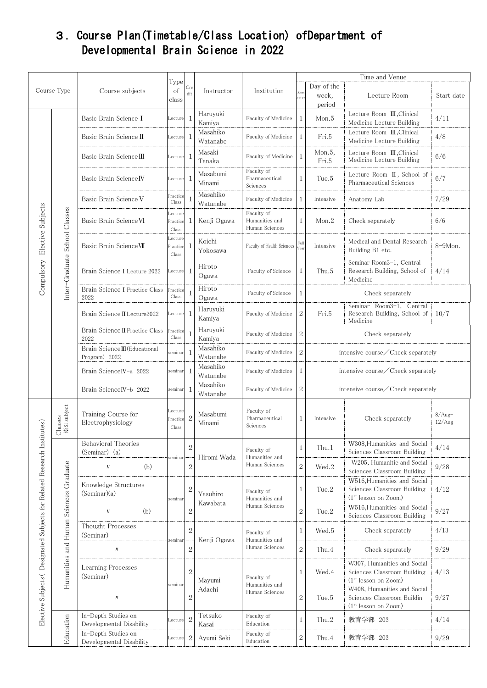## 3.Course Plan(Timetable/Class Location) ofDepartment of Developmental Brain Science in 2022

|                                                                         |                                        |                                                 |                              |                                  |                      |                                                |                   | Time and Venue                |                                                                                                |                    |  |  |
|-------------------------------------------------------------------------|----------------------------------------|-------------------------------------------------|------------------------------|----------------------------------|----------------------|------------------------------------------------|-------------------|-------------------------------|------------------------------------------------------------------------------------------------|--------------------|--|--|
| Course Type                                                             |                                        | Course subjects                                 | Type<br>of<br>class          | $_{\rm Cre}$<br>dit              | Instructor           | Institution                                    | Sem<br>ester      | Day of the<br>week,<br>period | Lecture Room                                                                                   | Start date         |  |  |
| Elective Subjects<br>Compulsory                                         | Inter-Graduate School Classes          | Basic Brain Science I                           | Lecture                      | $\overline{1}$                   | Haruyuki<br>Kamiya   | Faculty of Medicine                            | $\mathbf{1}$      | Mon.5                         | Lecture Room III, Clinical<br>Medicine Lecture Building                                        | 4/11               |  |  |
|                                                                         |                                        | Basic Brain Science II                          | Lecture                      | -1                               | Masahiko<br>Watanabe | Faculty of Medicine                            | 1                 | Fri.5                         | Lecture Room III, Clinical<br>Medicine Lecture Building                                        | 4/8                |  |  |
|                                                                         |                                        | Basic Brain Science III                         | Lecture                      | -1                               | Masaki<br>Tanaka     | Faculty of Medicine                            | $\mathbf{1}$      | Mon.5.<br>Fri.5               | Lecture Room III, Clinical<br>Medicine Lecture Building                                        | 6/6                |  |  |
|                                                                         |                                        | Basic Brain ScienceIV                           | Lecture                      | -1                               | Masabumi<br>Minami   | Faculty of<br>Pharmaceutical<br>Sciences       | 1                 | Tue.5                         | Lecture Room II, School of<br>Pharmaceutical Sciences                                          | 6/7                |  |  |
|                                                                         |                                        | Basic Brain Science V                           | Practice<br>Class            |                                  | Masahiko<br>Watanabe | Faculty of Medicine                            | 1                 | Intensive                     | Anatomy Lab                                                                                    | 7/29               |  |  |
|                                                                         |                                        | Basic Brain Science VI                          | Lecture<br>Practice<br>Class | 1                                | Kenji Ogawa          | Faculty of<br>Humanities and<br>Human Sciences | 1                 | Mon.2                         | Check separately                                                                               | 6/6                |  |  |
|                                                                         |                                        | Basic Brain ScienceVII                          | Lecture<br>Practice<br>Class | -1                               | Koichi<br>Yokosawa   | Faculty of Health Sciences                     | Full<br>.<br>Cear | Intensive                     | Medical and Dental Research<br>Building B1 etc.                                                | 8-9Mon.            |  |  |
|                                                                         |                                        | Brain Science I Lecture 2022                    | Lecture                      | -1                               | Hiroto<br>Ogawa      | Faculty of Science                             | 1                 | Thu.5                         | Seminar Room3-1, Central<br>Research Building, School of<br>Medicine                           | 4/14               |  |  |
|                                                                         |                                        | Brain Science I Practice Class<br>2022          | Practice<br>Class            |                                  | Hiroto<br>Ogawa      | Faculty of Science                             | 1                 |                               | Check separately                                                                               |                    |  |  |
|                                                                         |                                        | Brain Science II Lecture2022                    | Lecture                      | $\overline{1}$                   | Haruyuki<br>Kamiya   | Faculty of Medicine                            | $\sqrt{2}$        | Fri.5                         | Seminar Room3-1, Central<br>Research Building, School of $10/7$<br>Medicine                    |                    |  |  |
|                                                                         |                                        | Brain Science II Practice Class<br>2022         | Practice<br>Class            |                                  | Haruyuki<br>Kamiya   | Faculty of Medicine                            | $\sqrt{2}$        |                               | Check separately                                                                               |                    |  |  |
|                                                                         |                                        | Brain Science III (Educational<br>Program) 2022 | seminar                      | $\mathbf{1}$                     | Masahiko<br>Watanabe | Faculty of Medicine                            | $\sqrt{2}$        |                               | intensive course/Check separately                                                              |                    |  |  |
|                                                                         |                                        | Brain ScienceIV-a 2022                          | seminar                      | -1                               | Masahiko<br>Watanabe | Faculty of Medicine                            | 1                 |                               | intensive course/Check separately                                                              |                    |  |  |
|                                                                         |                                        | Brain ScienceIV-b 2022                          | seminar                      | $\overline{1}$                   | Masahiko<br>Watanabe | Faculty of Medicine                            | $\mathbf{2}$      |                               | intensive course/Check separately                                                              |                    |  |  |
|                                                                         | <b>XSI</b> subject<br>Classes          | Training Course for<br>Electrophysiology        | Lecture<br>Practice<br>Class | $\overline{2}$                   | Masabumi<br>Minami   | Faculty of<br>Pharmaceutical<br>Sciences       | 1                 | Intensive                     | Check separately                                                                               | $8/Aug-$<br>12/Aug |  |  |
|                                                                         | Humanities and Human Sciences Graduate | Behavioral Theories<br>(Seminar) (a)            | seminar                      | $\mathbf{2}$<br>$\overline{2}$   | Hiromi Wada          | Faculty of<br>Humanities and<br>Human Sciences | 1                 | Thu.1                         | W308, Humanities and Social<br>Sciences Classroom Building                                     | 4/14               |  |  |
|                                                                         |                                        | (b)<br>$J\bar J$                                |                              |                                  |                      |                                                | $\overline{2}$    | Wed.2                         | W205, Humanitie and Social<br>Sciences Classroom Building                                      | 9/28               |  |  |
| Elective Subjects (Designated Subjects for Related Research Institutes) |                                        | Knowledge Structures<br>(Seminar)(a)            | seminar                      | $\overline{2}$<br>$\overline{2}$ | Yasuhiro<br>Kawabata | Faculty of<br>Humanities and<br>Human Sciences | 1                 | Tue.2                         | W516, Humanities and Social<br>Sciences Classroom Building<br>$(1st$ lesson on Zoom)           | 4/12               |  |  |
|                                                                         |                                        | (b)<br>$J\bar J$                                |                              |                                  |                      |                                                | $\sqrt{2}$        | Tue.2                         | W516, Humanities and Social<br>Sciences Classroom Building                                     | $9/27$             |  |  |
|                                                                         |                                        | Thought Processes<br>(Seminar)                  |                              | $\overline{2}$                   | Kenji Ogawa          | Faculty of<br>Humanities and<br>Human Sciences | 1                 | Wed.5                         | Check separately                                                                               | 4/13               |  |  |
|                                                                         |                                        | $J\bar J$                                       | seminar                      | $\overline{2}$                   |                      |                                                | $\overline{2}$    | Thu.4                         | Check separately                                                                               | 9/29               |  |  |
|                                                                         |                                        | Learning Processes<br>(Seminar)                 | seminar                      | $\overline{2}$<br>$\overline{2}$ | Mayumi<br>Adachi     | Faculty of<br>Humanities and<br>Human Sciences | 1                 | Wed.4                         | W307, Humanities and Social<br>Sciences Classroom Building<br>(1 <sup>st</sup> lesson on Zoom) | 4/13               |  |  |
|                                                                         |                                        | $J\bar J$                                       |                              |                                  |                      |                                                | $\,2$             | Tue.5                         | W408, Humanities and Social<br>Sciences Classroom Buildin<br>$(1st$ lesson on Zoom)            | 9/27               |  |  |
|                                                                         | Education                              | In-Depth Studies on<br>Developmental Disability | Lecture                      | $\overline{2}$                   | Tetsuko<br>Kasai     | Faculty of<br>Education                        | $\mathbf{1}$      | Thu.2                         | 教育学部 203                                                                                       | 4/14               |  |  |
|                                                                         |                                        | In-Depth Studies on<br>Developmental Disability | Lecture                      | $\overline{2}$                   | Ayumi Seki           | Faculty of<br>Education                        | $\,2$             | Thu.4                         | 教育学部 203                                                                                       | 9/29               |  |  |